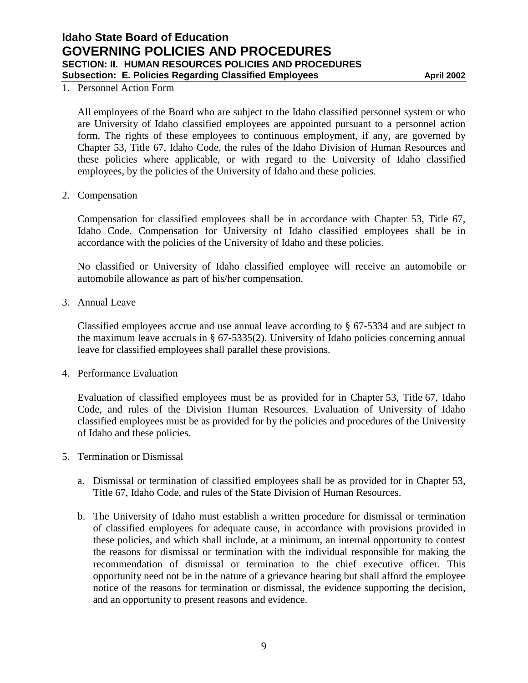## **Idaho State Board of Education GOVERNING POLICIES AND PROCEDURES SECTION: II. HUMAN RESOURCES POLICIES AND PROCEDURES Subsection: E. Policies Regarding Classified Employees <b>April 2002** April 2002

## 1. Personnel Action Form

All employees of the Board who are subject to the Idaho classified personnel system or who are University of Idaho classified employees are appointed pursuant to a personnel action form. The rights of these employees to continuous employment, if any, are governed by Chapter 53, Title 67, Idaho Code, the rules of the Idaho Division of Human Resources and these policies where applicable, or with regard to the University of Idaho classified employees, by the policies of the University of Idaho and these policies.

2. Compensation

Compensation for classified employees shall be in accordance with Chapter 53, Title 67, Idaho Code. Compensation for University of Idaho classified employees shall be in accordance with the policies of the University of Idaho and these policies.

No classified or University of Idaho classified employee will receive an automobile or automobile allowance as part of his/her compensation.

3. Annual Leave

Classified employees accrue and use annual leave according to § 67-5334 and are subject to the maximum leave accruals in § 67-5335(2). University of Idaho policies concerning annual leave for classified employees shall parallel these provisions.

4. Performance Evaluation

Evaluation of classified employees must be as provided for in Chapter 53, Title 67, Idaho Code, and rules of the Division Human Resources. Evaluation of University of Idaho classified employees must be as provided for by the policies and procedures of the University of Idaho and these policies.

- 5. Termination or Dismissal
	- a. Dismissal or termination of classified employees shall be as provided for in Chapter 53, Title 67, Idaho Code, and rules of the State Division of Human Resources.
	- b. The University of Idaho must establish a written procedure for dismissal or termination of classified employees for adequate cause, in accordance with provisions provided in these policies, and which shall include, at a minimum, an internal opportunity to contest the reasons for dismissal or termination with the individual responsible for making the recommendation of dismissal or termination to the chief executive officer. This opportunity need not be in the nature of a grievance hearing but shall afford the employee notice of the reasons for termination or dismissal, the evidence supporting the decision, and an opportunity to present reasons and evidence.